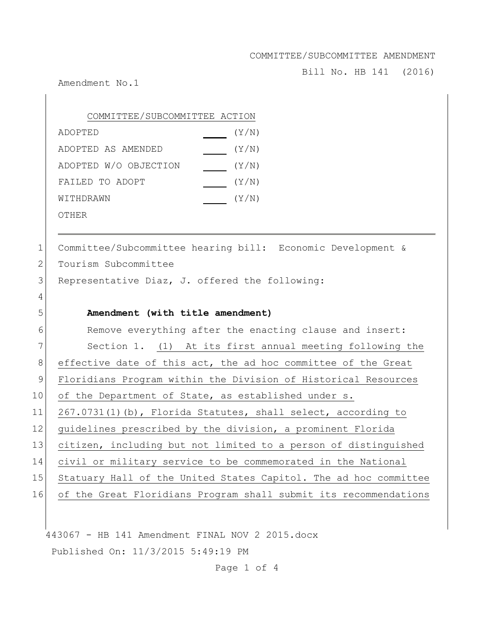Bill No. HB 141 (2016)

Amendment No.1

| COMMITTEE/SUBCOMMITTEE ACTION |       |
|-------------------------------|-------|
| ADOPTED                       | (Y/N) |
| ADOPTED AS AMENDED            | (Y/N) |
| ADOPTED W/O OBJECTION         | (Y/N) |
| FAILED TO ADOPT               | (Y/N) |
| WITHDRAWN                     | (Y/N) |
| OTHER                         |       |

1 Committee/Subcommittee hearing bill: Economic Development & 2 Tourism Subcommittee  $3$  Representative Diaz, J. offered the following: 4

## 5 **Amendment (with title amendment)**

6 Remove everything after the enacting clause and insert: 7 Section 1. (1) At its first annual meeting following the 8 effective date of this act, the ad hoc committee of the Great 9 Floridians Program within the Division of Historical Resources 10 of the Department of State, as established under s. 11 267.0731(1)(b), Florida Statutes, shall select, according to 12 guidelines prescribed by the division, a prominent Florida 13 citizen, including but not limited to a person of distinguished 14 civil or military service to be commemorated in the National 15 Statuary Hall of the United States Capitol. The ad hoc committee 16 of the Great Floridians Program shall submit its recommendations

443067 - HB 141 Amendment FINAL NOV 2 2015.docx Published On: 11/3/2015 5:49:19 PM

Page 1 of 4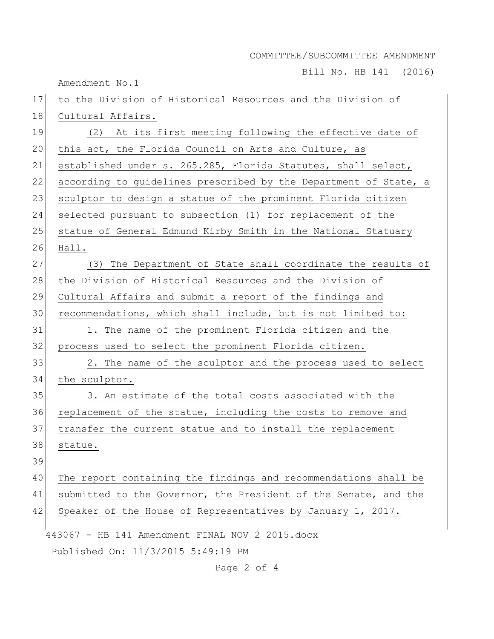Bill No. HB 141 (2016)

Amendment No.1

443067 - HB 141 Amendment FINAL NOV 2 2015.docx Published On: 11/3/2015 5:49:19 PM 17 to the Division of Historical Resources and the Division of 18 Cultural Affairs. 19 (2) At its first meeting following the effective date of 20 this act, the Florida Council on Arts and Culture, as 21 established under s. 265.285, Florida Statutes, shall select, 22 according to guidelines prescribed by the Department of State, a 23 sculptor to design a statue of the prominent Florida citizen 24 selected pursuant to subsection (1) for replacement of the 25 statue of General Edmund Kirby Smith in the National Statuary 26 Hall. 27 (3) The Department of State shall coordinate the results of 28 the Division of Historical Resources and the Division of 29 Cultural Affairs and submit a report of the findings and 30 recommendations, which shall include, but is not limited to: 31 1. The name of the prominent Florida citizen and the 32 process used to select the prominent Florida citizen. 33 2. The name of the sculptor and the process used to select 34 the sculptor. 35 3. An estimate of the total costs associated with the 36 replacement of the statue, including the costs to remove and 37 transfer the current statue and to install the replacement 38 statue. 39 40 The report containing the findings and recommendations shall be 41 submitted to the Governor, the President of the Senate, and the 42 Speaker of the House of Representatives by January 1, 2017.

Page 2 of 4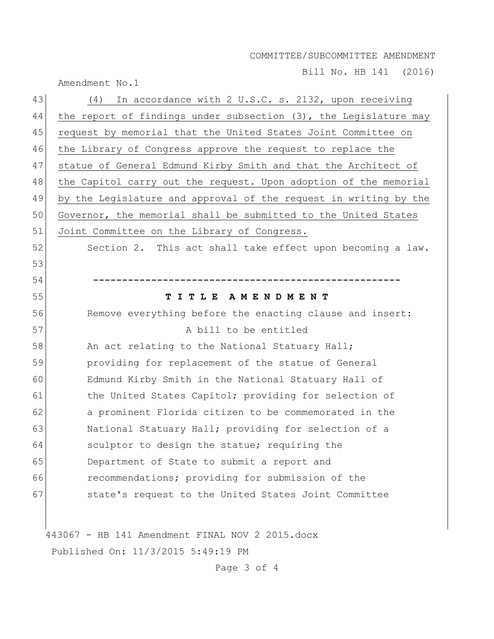Bill No. HB 141 (2016)

Amendment No.1

| 43 | In accordance with 2 U.S.C. s. 2132, upon receiving<br>(4)       |
|----|------------------------------------------------------------------|
| 44 | the report of findings under subsection (3), the Legislature may |
| 45 | request by memorial that the United States Joint Committee on    |
| 46 | the Library of Congress approve the request to replace the       |
| 47 | statue of General Edmund Kirby Smith and that the Architect of   |
| 48 | the Capitol carry out the request. Upon adoption of the memorial |
| 49 | by the Legislature and approval of the request in writing by the |
| 50 | Governor, the memorial shall be submitted to the United States   |
| 51 | Joint Committee on the Library of Congress.                      |
| 52 | Section 2. This act shall take effect upon becoming a law.       |
| 53 |                                                                  |
| 54 |                                                                  |
| 55 | TITLE AMENDMENT                                                  |
| 56 | Remove everything before the enacting clause and insert:         |
| 57 | A bill to be entitled                                            |
| 58 | An act relating to the National Statuary Hall;                   |
| 59 | providing for replacement of the statue of General               |
| 60 | Edmund Kirby Smith in the National Statuary Hall of              |
| 61 | the United States Capitol; providing for selection of            |
| 62 | a prominent Florida citizen to be commemorated in the            |
| 63 | National Statuary Hall; providing for selection of a             |
| 64 | sculptor to design the statue; requiring the                     |
| 65 | Department of State to submit a report and                       |
| 66 | recommendations; providing for submission of the                 |
| 67 | state's request to the United States Joint Committee             |
|    |                                                                  |
|    | 443067 - HB 141 Amendment FINAL NOV 2 2015.docx                  |

Published On: 11/3/2015 5:49:19 PM

Page 3 of 4